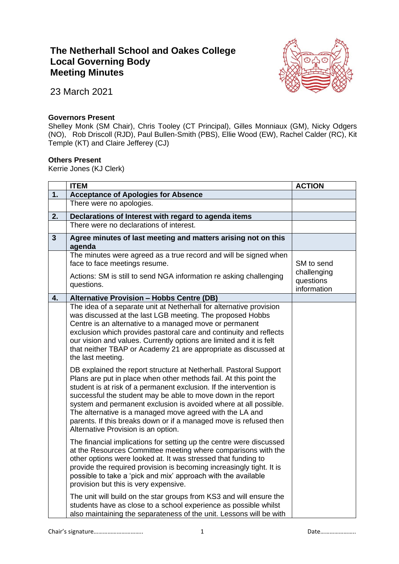## **The Netherhall School and Oakes College Local Governing Body Meeting Minutes**



23 March 2021

## **Governors Present**

Shelley Monk (SM Chair), Chris Tooley (CT Principal), Gilles Monniaux (GM), Nicky Odgers (NO), Rob Driscoll (RJD), Paul Bullen-Smith (PBS), Ellie Wood (EW), Rachel Calder (RC), Kit Temple (KT) and Claire Jefferey (CJ)

## **Others Present**

Kerrie Jones (KJ Clerk)

|                | <b>ITEM</b>                                                                                                                                                                                                                                                                                                                                                                                                                                                                                                                | <b>ACTION</b>                           |
|----------------|----------------------------------------------------------------------------------------------------------------------------------------------------------------------------------------------------------------------------------------------------------------------------------------------------------------------------------------------------------------------------------------------------------------------------------------------------------------------------------------------------------------------------|-----------------------------------------|
| 1.             | <b>Acceptance of Apologies for Absence</b>                                                                                                                                                                                                                                                                                                                                                                                                                                                                                 |                                         |
|                | There were no apologies.                                                                                                                                                                                                                                                                                                                                                                                                                                                                                                   |                                         |
| 2.             | Declarations of Interest with regard to agenda items                                                                                                                                                                                                                                                                                                                                                                                                                                                                       |                                         |
|                | There were no declarations of interest.                                                                                                                                                                                                                                                                                                                                                                                                                                                                                    |                                         |
| $\overline{3}$ | Agree minutes of last meeting and matters arising not on this<br>agenda                                                                                                                                                                                                                                                                                                                                                                                                                                                    |                                         |
|                | The minutes were agreed as a true record and will be signed when<br>face to face meetings resume.                                                                                                                                                                                                                                                                                                                                                                                                                          | SM to send                              |
|                | Actions: SM is still to send NGA information re asking challenging<br>questions.                                                                                                                                                                                                                                                                                                                                                                                                                                           | challenging<br>questions<br>information |
| 4.             | Alternative Provision - Hobbs Centre (DB)                                                                                                                                                                                                                                                                                                                                                                                                                                                                                  |                                         |
|                | The idea of a separate unit at Netherhall for alternative provision<br>was discussed at the last LGB meeting. The proposed Hobbs<br>Centre is an alternative to a managed move or permanent<br>exclusion which provides pastoral care and continuity and reflects<br>our vision and values. Currently options are limited and it is felt<br>that neither TBAP or Academy 21 are appropriate as discussed at<br>the last meeting.                                                                                           |                                         |
|                | DB explained the report structure at Netherhall. Pastoral Support<br>Plans are put in place when other methods fail. At this point the<br>student is at risk of a permanent exclusion. If the intervention is<br>successful the student may be able to move down in the report<br>system and permanent exclusion is avoided where at all possible.<br>The alternative is a managed move agreed with the LA and<br>parents. If this breaks down or if a managed move is refused then<br>Alternative Provision is an option. |                                         |
|                | The financial implications for setting up the centre were discussed<br>at the Resources Committee meeting where comparisons with the<br>other options were looked at. It was stressed that funding to<br>provide the required provision is becoming increasingly tight. It is<br>possible to take a 'pick and mix' approach with the available<br>provision but this is very expensive.                                                                                                                                    |                                         |
|                | The unit will build on the star groups from KS3 and will ensure the<br>students have as close to a school experience as possible whilst<br>also maintaining the separateness of the unit. Lessons will be with                                                                                                                                                                                                                                                                                                             |                                         |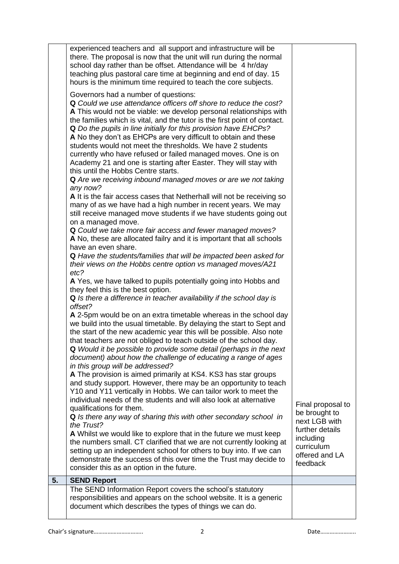|    | experienced teachers and all support and infrastructure will be<br>there. The proposal is now that the unit will run during the normal<br>school day rather than be offset. Attendance will be 4 hr/day<br>teaching plus pastoral care time at beginning and end of day. 15<br>hours is the minimum time required to teach the core subjects.                                                                                                                                                                                                                                                                                                                                                                                                                                                                                                                                                                                                                                                                                                                                                                                                                                                                                                                                                                                                                                                                                                                                                                                                                                                                                                                                           |                                                       |
|----|-----------------------------------------------------------------------------------------------------------------------------------------------------------------------------------------------------------------------------------------------------------------------------------------------------------------------------------------------------------------------------------------------------------------------------------------------------------------------------------------------------------------------------------------------------------------------------------------------------------------------------------------------------------------------------------------------------------------------------------------------------------------------------------------------------------------------------------------------------------------------------------------------------------------------------------------------------------------------------------------------------------------------------------------------------------------------------------------------------------------------------------------------------------------------------------------------------------------------------------------------------------------------------------------------------------------------------------------------------------------------------------------------------------------------------------------------------------------------------------------------------------------------------------------------------------------------------------------------------------------------------------------------------------------------------------------|-------------------------------------------------------|
|    | Governors had a number of questions:<br>Q Could we use attendance officers off shore to reduce the cost?<br>A This would not be viable: we develop personal relationships with<br>the families which is vital, and the tutor is the first point of contact.<br>Q Do the pupils in line initially for this provision have EHCPs?<br>A No they don't as EHCPs are very difficult to obtain and these<br>students would not meet the thresholds. We have 2 students<br>currently who have refused or failed managed moves. One is on<br>Academy 21 and one is starting after Easter. They will stay with<br>this until the Hobbs Centre starts.<br>Q Are we receiving inbound managed moves or are we not taking<br>any now?<br>A It is the fair access cases that Netherhall will not be receiving so<br>many of as we have had a high number in recent years. We may<br>still receive managed move students if we have students going out<br>on a managed move.<br>Q Could we take more fair access and fewer managed moves?<br>A No, these are allocated failry and it is important that all schools<br>have an even share.<br>Q Have the students/families that will be impacted been asked for<br>their views on the Hobbs centre option vs managed moves/A21<br>etc?<br>A Yes, we have talked to pupils potentially going into Hobbs and<br>they feel this is the best option.<br>Q Is there a difference in teacher availability if the school day is<br>offset?<br>A 2-5pm would be on an extra timetable whereas in the school day<br>we build into the usual timetable. By delaying the start to Sept and<br>the start of the new academic year this will be possible. Also note |                                                       |
|    | that teachers are not obliged to teach outside of the school day.<br>Q Would it be possible to provide some detail (perhaps in the next<br>document) about how the challenge of educating a range of ages                                                                                                                                                                                                                                                                                                                                                                                                                                                                                                                                                                                                                                                                                                                                                                                                                                                                                                                                                                                                                                                                                                                                                                                                                                                                                                                                                                                                                                                                               |                                                       |
|    | in this group will be addressed?<br>A The provision is aimed primarily at KS4. KS3 has star groups<br>and study support. However, there may be an opportunity to teach<br>Y10 and Y11 vertically in Hobbs. We can tailor work to meet the<br>individual needs of the students and will also look at alternative                                                                                                                                                                                                                                                                                                                                                                                                                                                                                                                                                                                                                                                                                                                                                                                                                                                                                                                                                                                                                                                                                                                                                                                                                                                                                                                                                                         | Final proposal to                                     |
|    | qualifications for them.<br>Q Is there any way of sharing this with other secondary school in<br>the Trust?                                                                                                                                                                                                                                                                                                                                                                                                                                                                                                                                                                                                                                                                                                                                                                                                                                                                                                                                                                                                                                                                                                                                                                                                                                                                                                                                                                                                                                                                                                                                                                             | be brought to<br>next LGB with<br>further details     |
|    | A Whilst we would like to explore that in the future we must keep<br>the numbers small. CT clarified that we are not currently looking at<br>setting up an independent school for others to buy into. If we can<br>demonstrate the success of this over time the Trust may decide to<br>consider this as an option in the future.                                                                                                                                                                                                                                                                                                                                                                                                                                                                                                                                                                                                                                                                                                                                                                                                                                                                                                                                                                                                                                                                                                                                                                                                                                                                                                                                                       | including<br>curriculum<br>offered and LA<br>feedback |
| 5. | <b>SEND Report</b>                                                                                                                                                                                                                                                                                                                                                                                                                                                                                                                                                                                                                                                                                                                                                                                                                                                                                                                                                                                                                                                                                                                                                                                                                                                                                                                                                                                                                                                                                                                                                                                                                                                                      |                                                       |
|    | The SEND Information Report covers the school's statutory                                                                                                                                                                                                                                                                                                                                                                                                                                                                                                                                                                                                                                                                                                                                                                                                                                                                                                                                                                                                                                                                                                                                                                                                                                                                                                                                                                                                                                                                                                                                                                                                                               |                                                       |
|    | responsibilities and appears on the school website. It is a generic<br>document which describes the types of things we can do.                                                                                                                                                                                                                                                                                                                                                                                                                                                                                                                                                                                                                                                                                                                                                                                                                                                                                                                                                                                                                                                                                                                                                                                                                                                                                                                                                                                                                                                                                                                                                          |                                                       |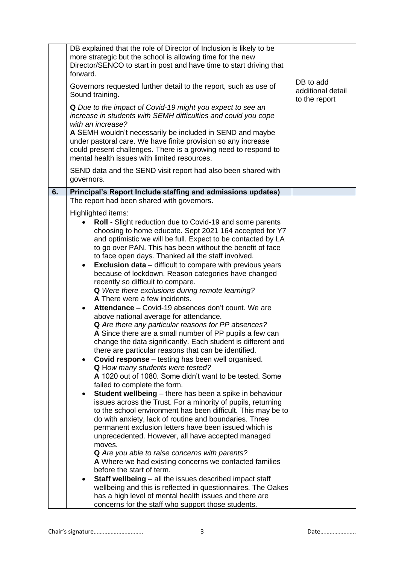|    | forward.                                                                                                                                                                                                                                      | DB explained that the role of Director of Inclusion is likely to be<br>more strategic but the school is allowing time for the new<br>Director/SENCO to start in post and have time to start driving that |                                                 |
|----|-----------------------------------------------------------------------------------------------------------------------------------------------------------------------------------------------------------------------------------------------|----------------------------------------------------------------------------------------------------------------------------------------------------------------------------------------------------------|-------------------------------------------------|
|    | Governors requested further detail to the report, such as use of<br>Sound training.                                                                                                                                                           |                                                                                                                                                                                                          | DB to add<br>additional detail<br>to the report |
|    |                                                                                                                                                                                                                                               | Q Due to the impact of Covid-19 might you expect to see an<br>increase in students with SEMH difficulties and could you cope<br>with an increase?                                                        |                                                 |
|    | A SEMH wouldn't necessarily be included in SEND and maybe<br>under pastoral care. We have finite provision so any increase<br>could present challenges. There is a growing need to respond to<br>mental health issues with limited resources. |                                                                                                                                                                                                          |                                                 |
|    | governors.                                                                                                                                                                                                                                    | SEND data and the SEND visit report had also been shared with                                                                                                                                            |                                                 |
| 6. |                                                                                                                                                                                                                                               | Principal's Report Include staffing and admissions updates)                                                                                                                                              |                                                 |
|    |                                                                                                                                                                                                                                               | The report had been shared with governors.                                                                                                                                                               |                                                 |
|    |                                                                                                                                                                                                                                               | Highlighted items:                                                                                                                                                                                       |                                                 |
|    |                                                                                                                                                                                                                                               | <b>Roll</b> - Slight reduction due to Covid-19 and some parents                                                                                                                                          |                                                 |
|    |                                                                                                                                                                                                                                               | choosing to home educate. Sept 2021 164 accepted for Y7<br>and optimistic we will be full. Expect to be contacted by LA                                                                                  |                                                 |
|    |                                                                                                                                                                                                                                               | to go over PAN. This has been without the benefit of face                                                                                                                                                |                                                 |
|    |                                                                                                                                                                                                                                               | to face open days. Thanked all the staff involved.                                                                                                                                                       |                                                 |
|    | $\bullet$                                                                                                                                                                                                                                     | <b>Exclusion data</b> – difficult to compare with previous years                                                                                                                                         |                                                 |
|    |                                                                                                                                                                                                                                               | because of lockdown. Reason categories have changed                                                                                                                                                      |                                                 |
|    |                                                                                                                                                                                                                                               | recently so difficult to compare.                                                                                                                                                                        |                                                 |
|    |                                                                                                                                                                                                                                               | Q Were there exclusions during remote learning?<br>A There were a few incidents.                                                                                                                         |                                                 |
|    | $\bullet$                                                                                                                                                                                                                                     | Attendance – Covid-19 absences don't count. We are                                                                                                                                                       |                                                 |
|    |                                                                                                                                                                                                                                               | above national average for attendance.                                                                                                                                                                   |                                                 |
|    |                                                                                                                                                                                                                                               | Q Are there any particular reasons for PP absences?                                                                                                                                                      |                                                 |
|    |                                                                                                                                                                                                                                               | A Since there are a small number of PP pupils a few can                                                                                                                                                  |                                                 |
|    |                                                                                                                                                                                                                                               | change the data significantly. Each student is different and<br>there are particular reasons that can be identified.                                                                                     |                                                 |
|    | $\bullet$                                                                                                                                                                                                                                     | <b>Covid response</b> – testing has been well organised.                                                                                                                                                 |                                                 |
|    |                                                                                                                                                                                                                                               | Q How many students were tested?                                                                                                                                                                         |                                                 |
|    |                                                                                                                                                                                                                                               | A 1020 out of 1080. Some didn't want to be tested. Some                                                                                                                                                  |                                                 |
|    |                                                                                                                                                                                                                                               | failed to complete the form.                                                                                                                                                                             |                                                 |
|    | $\bullet$                                                                                                                                                                                                                                     | <b>Student wellbeing</b> – there has been a spike in behaviour<br>issues across the Trust. For a minority of pupils, returning                                                                           |                                                 |
|    |                                                                                                                                                                                                                                               | to the school environment has been difficult. This may be to                                                                                                                                             |                                                 |
|    |                                                                                                                                                                                                                                               | do with anxiety, lack of routine and boundaries. Three                                                                                                                                                   |                                                 |
|    |                                                                                                                                                                                                                                               | permanent exclusion letters have been issued which is                                                                                                                                                    |                                                 |
|    |                                                                                                                                                                                                                                               | unprecedented. However, all have accepted managed<br>moves.                                                                                                                                              |                                                 |
|    |                                                                                                                                                                                                                                               | Q Are you able to raise concerns with parents?                                                                                                                                                           |                                                 |
|    |                                                                                                                                                                                                                                               | A Where we had existing concerns we contacted families                                                                                                                                                   |                                                 |
|    |                                                                                                                                                                                                                                               | before the start of term.                                                                                                                                                                                |                                                 |
|    | ٠                                                                                                                                                                                                                                             | Staff wellbeing - all the issues described impact staff                                                                                                                                                  |                                                 |
|    |                                                                                                                                                                                                                                               | wellbeing and this is reflected in questionnaires. The Oakes<br>has a high level of mental health issues and there are                                                                                   |                                                 |
|    |                                                                                                                                                                                                                                               | concerns for the staff who support those students.                                                                                                                                                       |                                                 |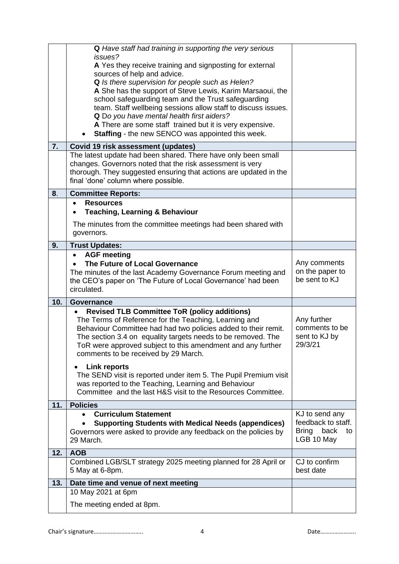| 7.  | Q Have staff had training in supporting the very serious<br>issues?<br>A Yes they receive training and signposting for external<br>sources of help and advice.<br>Q Is there supervision for people such as Helen?<br>A She has the support of Steve Lewis, Karim Marsaoui, the<br>school safeguarding team and the Trust safeguarding<br>team. Staff wellbeing sessions allow staff to discuss issues.<br>Q Do you have mental health first aiders?<br>A There are some staff trained but it is very expensive.<br><b>Staffing</b> - the new SENCO was appointed this week.<br>Covid 19 risk assessment (updates)<br>The latest update had been shared. There have only been small<br>changes. Governors noted that the risk assessment is very |                                                                        |
|-----|--------------------------------------------------------------------------------------------------------------------------------------------------------------------------------------------------------------------------------------------------------------------------------------------------------------------------------------------------------------------------------------------------------------------------------------------------------------------------------------------------------------------------------------------------------------------------------------------------------------------------------------------------------------------------------------------------------------------------------------------------|------------------------------------------------------------------------|
|     | thorough. They suggested ensuring that actions are updated in the<br>final 'done' column where possible.                                                                                                                                                                                                                                                                                                                                                                                                                                                                                                                                                                                                                                         |                                                                        |
| 8.  | <b>Committee Reports:</b>                                                                                                                                                                                                                                                                                                                                                                                                                                                                                                                                                                                                                                                                                                                        |                                                                        |
|     | <b>Resources</b><br>$\bullet$<br><b>Teaching, Learning &amp; Behaviour</b><br>The minutes from the committee meetings had been shared with<br>governors.                                                                                                                                                                                                                                                                                                                                                                                                                                                                                                                                                                                         |                                                                        |
| 9.  | <b>Trust Updates:</b>                                                                                                                                                                                                                                                                                                                                                                                                                                                                                                                                                                                                                                                                                                                            |                                                                        |
|     | <b>AGF</b> meeting<br>The Future of Local Governance<br>The minutes of the last Academy Governance Forum meeting and<br>the CEO's paper on 'The Future of Local Governance' had been<br>circulated.                                                                                                                                                                                                                                                                                                                                                                                                                                                                                                                                              | Any comments<br>on the paper to<br>be sent to KJ                       |
| 10. | <b>Governance</b>                                                                                                                                                                                                                                                                                                                                                                                                                                                                                                                                                                                                                                                                                                                                |                                                                        |
|     | <b>Revised TLB Committee ToR (policy additions)</b><br>The Terms of Reference for the Teaching, Learning and<br>Behaviour Committee had had two policies added to their remit.<br>The section 3.4 on equality targets needs to be removed. The<br>ToR were approved subject to this amendment and any further<br>comments to be received by 29 March.                                                                                                                                                                                                                                                                                                                                                                                            | Any further<br>comments to be<br>sent to KJ by<br>29/3/21              |
|     | <b>Link reports</b><br>The SEND visit is reported under item 5. The Pupil Premium visit<br>was reported to the Teaching, Learning and Behaviour<br>Committee and the last H&S visit to the Resources Committee.                                                                                                                                                                                                                                                                                                                                                                                                                                                                                                                                  |                                                                        |
| 11. | <b>Policies</b>                                                                                                                                                                                                                                                                                                                                                                                                                                                                                                                                                                                                                                                                                                                                  |                                                                        |
|     | <b>Curriculum Statement</b><br><b>Supporting Students with Medical Needs (appendices)</b><br>Governors were asked to provide any feedback on the policies by<br>29 March.                                                                                                                                                                                                                                                                                                                                                                                                                                                                                                                                                                        | KJ to send any<br>feedback to staff.<br>Bring back<br>to<br>LGB 10 May |
| 12. | <b>AOB</b>                                                                                                                                                                                                                                                                                                                                                                                                                                                                                                                                                                                                                                                                                                                                       |                                                                        |
|     | Combined LGB/SLT strategy 2025 meeting planned for 28 April or<br>5 May at 6-8pm.                                                                                                                                                                                                                                                                                                                                                                                                                                                                                                                                                                                                                                                                | CJ to confirm<br>best date                                             |
| 13. | Date time and venue of next meeting                                                                                                                                                                                                                                                                                                                                                                                                                                                                                                                                                                                                                                                                                                              |                                                                        |
|     | 10 May 2021 at 6pm<br>The meeting ended at 8pm.                                                                                                                                                                                                                                                                                                                                                                                                                                                                                                                                                                                                                                                                                                  |                                                                        |
|     |                                                                                                                                                                                                                                                                                                                                                                                                                                                                                                                                                                                                                                                                                                                                                  |                                                                        |